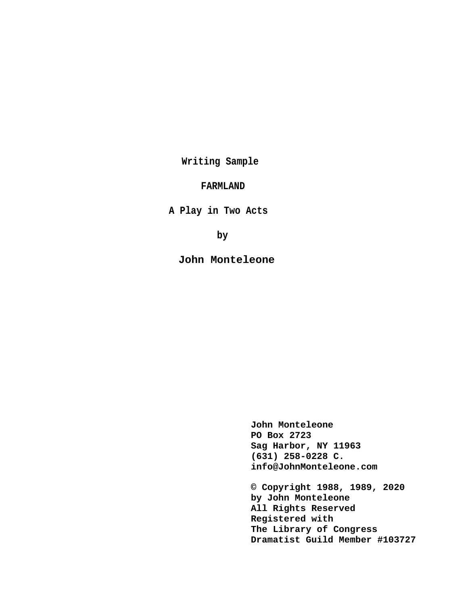**Writing Sample**

# **FARMLAND**

**A Play in Two Acts**

**by** 

**John Monteleone**

**John Monteleone PO Box 2723 Sag Harbor, NY 11963 (631) 258-0228 C. info@JohnMonteleone.com**

**© Copyright 1988, 1989, 2020 by John Monteleone All Rights Reserved Registered with The Library of Congress Dramatist Guild Member #103727**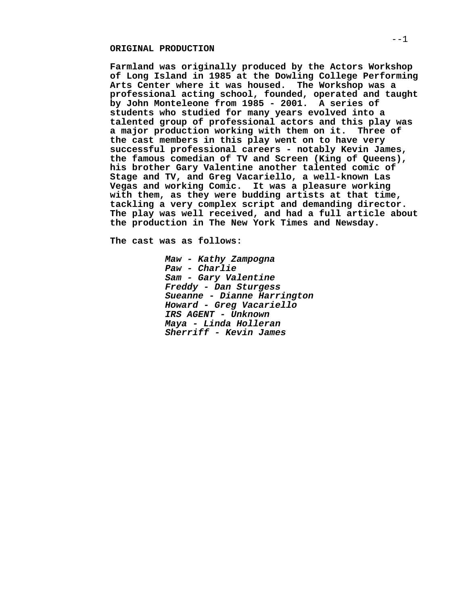# **ORIGINAL PRODUCTION**

**Farmland was originally produced by the Actors Workshop of Long Island in 1985 at the Dowling College Performing Arts Center where it was housed. The Workshop was a professional acting school, founded, operated and taught by John Monteleone from 1985 - 2001. A series of students who studied for many years evolved into a talented group of professional actors and this play was a major production working with them on it. Three of the cast members in this play went on to have very successful professional careers - notably Kevin James, the famous comedian of TV and Screen (King of Queens), his brother Gary Valentine another talented comic of Stage and TV, and Greg Vacariello, a well-known Las Vegas and working Comic. It was a pleasure working with them, as they were budding artists at that time, tackling a very complex script and demanding director. The play was well received, and had a full article about the production in The New York Times and Newsday.**

**The cast was as follows:**

**Maw - Kathy Zampogna Paw - Charlie Sam - Gary Valentine Freddy - Dan Sturgess Sueanne - Dianne Harrington Howard - Greg Vacariello IRS AGENT - Unknown Maya - Linda Holleran Sherriff - Kevin James**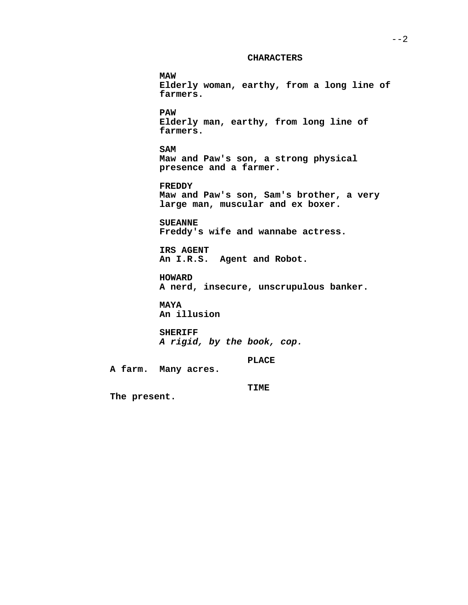## **CHARACTERS**

**MAW Elderly woman, earthy, from a long line of farmers. PAW Elderly man, earthy, from long line of farmers. SAM Maw and Paw's son, a strong physical presence and a farmer. FREDDY Maw and Paw's son, Sam's brother, a very large man, muscular and ex boxer. SUEANNE Freddy's wife and wannabe actress. IRS AGENT An I.R.S. Agent and Robot. HOWARD A nerd, insecure, unscrupulous banker. MAYA An illusion SHERIFF A rigid, by the book, cop. PLACE A farm. Many acres. TIME**

**The present.**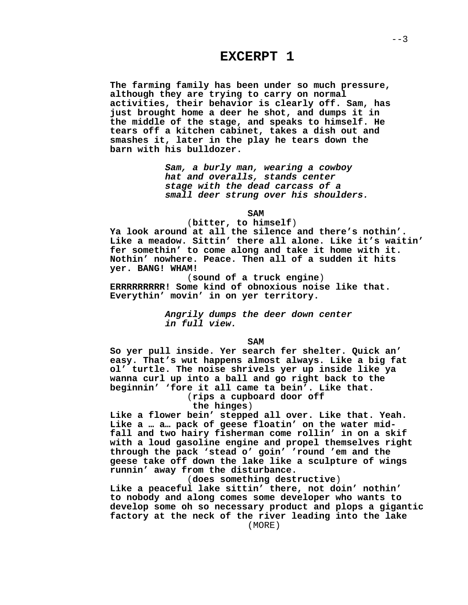# **EXCERPT 1**

**The farming family has been under so much pressure, although they are trying to carry on normal activities, their behavior is clearly off. Sam, has just brought home a deer he shot, and dumps it in the middle of the stage, and speaks to himself. He tears off a kitchen cabinet, takes a dish out and smashes it, later in the play he tears down the barn with his bulldozer.**

> **Sam, a burly man, wearing a cowboy hat and overalls, stands center stage with the dead carcass of a small deer strung over his shoulders.**

> > **SAM**

# (**bitter, to himself**)

**Ya look around at all the silence and there's nothin'. Like a meadow. Sittin' there all alone. Like it's waitin' fer somethin' to come along and take it home with it. Nothin' nowhere. Peace. Then all of a sudden it hits yer. BANG! WHAM!**

(**sound of a truck engine**) **ERRRRRRRRR! Some kind of obnoxious noise like that. Everythin' movin' in on yer territory.**

> **Angrily dumps the deer down center in full view.**

### **SAM**

**So yer pull inside. Yer search fer shelter. Quick an' easy. That's wut happens almost always. Like a big fat ol' turtle. The noise shrivels yer up inside like ya wanna curl up into a ball and go right back to the beginnin' 'fore it all came ta bein'. Like that.**

(**rips a cupboard door off**

# **the hinges**)

**Like a flower bein' stepped all over. Like that. Yeah. Like a … a… pack of geese floatin' on the water midfall and two hairy fisherman come rollin' in on a skif with a loud gasoline engine and propel themselves right through the pack 'stead o' goin' 'round 'em and the geese take off down the lake like a sculpture of wings runnin' away from the disturbance.**

(**does something destructive**)

**Like a peaceful lake sittin' there, not doin' nothin' to nobody and along comes some developer who wants to develop some oh so necessary product and plops a gigantic factory at the neck of the river leading into the lake** (MORE)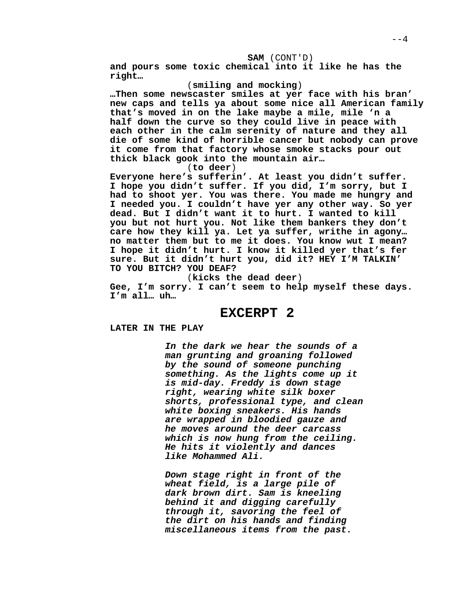**SAM** (CONT'D)

**and pours some toxic chemical into it like he has the right…**

# (**smiling and mocking**)

**…Then some newscaster smiles at yer face with his bran' new caps and tells ya about some nice all American family that's moved in on the lake maybe a mile, mile 'n a half down the curve so they could live in peace with each other in the calm serenity of nature and they all die of some kind of horrible cancer but nobody can prove it come from that factory whose smoke stacks pour out thick black gook into the mountain air…**

(**to deer**)

**Everyone here's sufferin'. At least you didn't suffer. I hope you didn't suffer. If you did, I'm sorry, but I had to shoot yer. You was there. You made me hungry and I needed you. I couldn't have yer any other way. So yer dead. But I didn't want it to hurt. I wanted to kill you but not hurt you. Not like them bankers they don't care how they kill ya. Let ya suffer, writhe in agony… no matter them but to me it does. You know wut I mean? I hope it didn't hurt. I know it killed yer that's fer sure. But it didn't hurt you, did it? HEY I'M TALKIN' TO YOU BITCH? YOU DEAF?**

(**kicks the dead deer**)

**Gee, I'm sorry. I can't seem to help myself these days. I'm all… uh…**

# **EXCERPT 2**

**LATER IN THE PLAY**

**In the dark we hear the sounds of a man grunting and groaning followed by the sound of someone punching something. As the lights come up it is mid-day. Freddy is down stage right, wearing white silk boxer shorts, professional type, and clean white boxing sneakers. His hands are wrapped in bloodied gauze and he moves around the deer carcass which is now hung from the ceiling. He hits it violently and dances like Mohammed Ali.**

**Down stage right in front of the wheat field, is a large pile of dark brown dirt. Sam is kneeling behind it and digging carefully through it, savoring the feel of the dirt on his hands and finding miscellaneous items from the past.**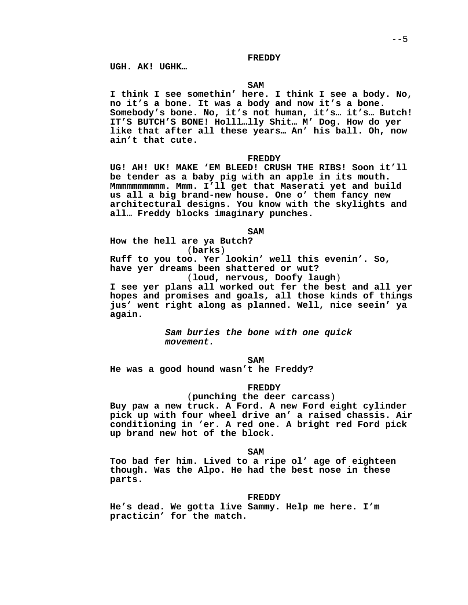### **FREDDY**

**UGH. AK! UGHK…**

# **SAM**

**I think I see somethin' here. I think I see a body. No, no it's a bone. It was a body and now it's a bone. Somebody's bone. No, it's not human, it's… it's… Butch! IT'S BUTCH'S BONE! Holll…lly Shit… M' Dog. How do yer like that after all these years… An' his ball. Oh, now ain't that cute.**

# **FREDDY**

**UG! AH! UK! MAKE 'EM BLEED! CRUSH THE RIBS! Soon it'll be tender as a baby pig with an apple in its mouth. Mmmmmmmmmm. Mmm. I'll get that Maserati yet and build us all a big brand-new house. One o' them fancy new architectural designs. You know with the skylights and all… Freddy blocks imaginary punches.**

## **SAM**

**How the hell are ya Butch?** (**barks**)

**Ruff to you too. Yer lookin' well this evenin'. So, have yer dreams been shattered or wut?**

(**loud, nervous, Doofy laugh**)

**I see yer plans all worked out fer the best and all yer hopes and promises and goals, all those kinds of things jus' went right along as planned. Well, nice seein' ya again.**

> **Sam buries the bone with one quick movement.**

> > **SAM**

**He was a good hound wasn't he Freddy?**

# **FREDDY**

### (**punching the deer carcass**)

**Buy paw a new truck. A Ford. A new Ford eight cylinder pick up with four wheel drive an' a raised chassis. Air conditioning in 'er. A red one. A bright red Ford pick up brand new hot of the block.**

## **SAM**

**Too bad fer him. Lived to a ripe ol' age of eighteen though. Was the Alpo. He had the best nose in these parts.**

#### **FREDDY**

**He's dead. We gotta live Sammy. Help me here. I'm practicin' for the match.**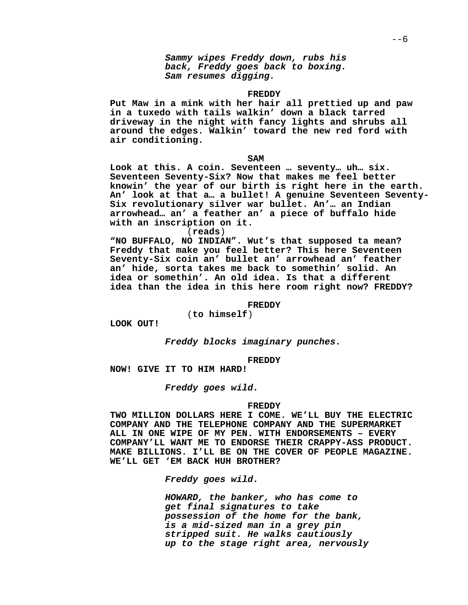**Sammy wipes Freddy down, rubs his back, Freddy goes back to boxing. Sam resumes digging.**

### **FREDDY**

**Put Maw in a mink with her hair all prettied up and paw in a tuxedo with tails walkin' down a black tarred driveway in the night with fancy lights and shrubs all around the edges. Walkin' toward the new red ford with air conditioning.**

**SAM**

**Look at this. A coin. Seventeen … seventy… uh… six. Seventeen Seventy-Six? Now that makes me feel better knowin' the year of our birth is right here in the earth. An' look at that a… a bullet! A genuine Seventeen Seventy-Six revolutionary silver war bullet. An'… an Indian arrowhead… an' a feather an' a piece of buffalo hide with an inscription on it.**

(**reads**)

**"NO BUFFALO, NO INDIAN". Wut's that supposed ta mean? Freddy that make you feel better? This here Seventeen Seventy-Six coin an' bullet an' arrowhead an' feather an' hide, sorta takes me back to somethin' solid. An idea or somethin'. An old idea. Is that a different idea than the idea in this here room right now? FREDDY?**

**FREDDY**

(**to himself**)

**LOOK OUT!**

**Freddy blocks imaginary punches.**

**FREDDY**

**NOW! GIVE IT TO HIM HARD!**

**Freddy goes wild.**

#### **FREDDY**

**TWO MILLION DOLLARS HERE I COME. WE'LL BUY THE ELECTRIC COMPANY AND THE TELEPHONE COMPANY AND THE SUPERMARKET ALL IN ONE WIPE OF MY PEN. WITH ENDORSEMENTS – EVERY COMPANY'LL WANT ME TO ENDORSE THEIR CRAPPY-ASS PRODUCT. MAKE BILLIONS. I'LL BE ON THE COVER OF PEOPLE MAGAZINE. WE'LL GET 'EM BACK HUH BROTHER?**

**Freddy goes wild.**

**HOWARD, the banker, who has come to get final signatures to take possession of the home for the bank, is a mid-sized man in a grey pin stripped suit. He walks cautiously up to the stage right area, nervously**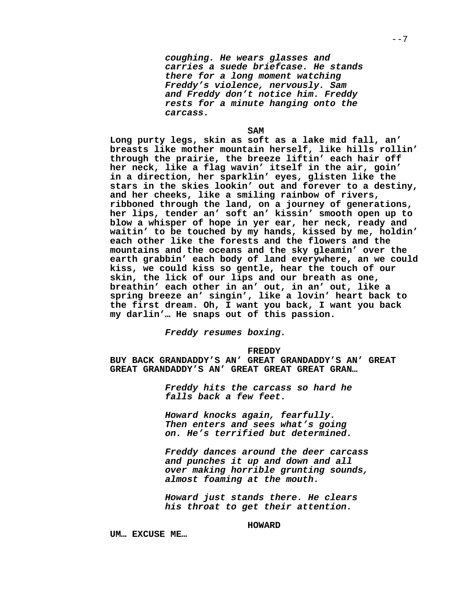**coughing. He wears glasses and carries a suede briefcase. He stands there for a long moment watching Freddy's violence, nervously. Sam and Freddy don't notice him. Freddy rests for a minute hanging onto the carcass.**

#### **SAM**

**Long purty legs, skin as soft as a lake mid fall, an' breasts like mother mountain herself, like hills rollin' through the prairie, the breeze liftin' each hair off her neck, like a flag wavin' itself in the air, goin' in a direction, her sparklin' eyes, glisten like the stars in the skies lookin' out and forever to a destiny, and her cheeks, like a smiling rainbow of rivers, ribboned through the land, on a journey of generations, her lips, tender an' soft an' kissin' smooth open up to blow a whisper of hope in yer ear, her neck, ready and waitin' to be touched by my hands, kissed by me, holdin' each other like the forests and the flowers and the mountains and the oceans and the sky gleamin' over the earth grabbin' each body of land everywhere, an we could kiss, we could kiss so gentle, hear the touch of our skin, the lick of our lips and our breath as one, breathin' each other in an' out, in an' out, like a spring breeze an' singin', like a lovin' heart back to the first dream. Oh, I want you back, I want you back my darlin'… He snaps out of this passion.**

**Freddy resumes boxing.**

**FREDDY**

**BUY BACK GRANDADDY'S AN' GREAT GRANDADDY'S AN' GREAT GREAT GRANDADDY'S AN' GREAT GREAT GREAT GRAN…**

> **Freddy hits the carcass so hard he falls back a few feet.**

> **Howard knocks again, fearfully. Then enters and sees what's going on. He's terrified but determined.**

**Freddy dances around the deer carcass and punches it up and down and all over making horrible grunting sounds, almost foaming at the mouth.**

**Howard just stands there. He clears his throat to get their attention.**

# **HOWARD**

**UM… EXCUSE ME…**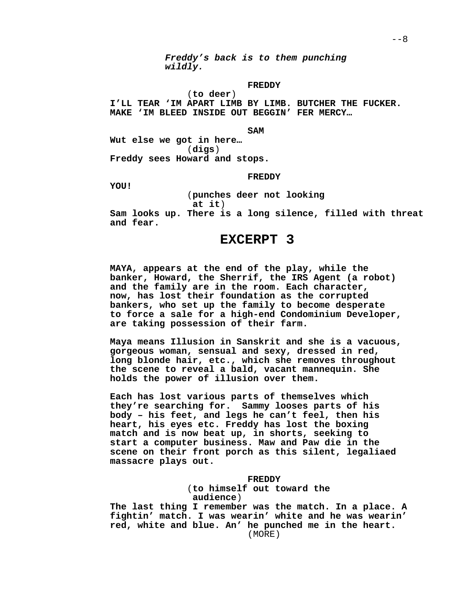**Freddy's back is to them punching wildly.**

# **FREDDY**

(**to deer**) **I'LL TEAR 'IM APART LIMB BY LIMB. BUTCHER THE FUCKER. MAKE 'IM BLEED INSIDE OUT BEGGIN' FER MERCY…**

## **SAM**

**Wut else we got in here…** (**digs**) **Freddy sees Howard and stops.**

## **FREDDY**

**YOU!**

(**punches deer not looking**

**at it**)

**Sam looks up. There is a long silence, filled with threat and fear.**

# **EXCERPT 3**

**MAYA, appears at the end of the play, while the banker, Howard, the Sherrif, the IRS Agent (a robot) and the family are in the room. Each character, now, has lost their foundation as the corrupted bankers, who set up the family to become desperate to force a sale for a high-end Condominium Developer, are taking possession of their farm.**

**Maya means Illusion in Sanskrit and she is a vacuous, gorgeous woman, sensual and sexy, dressed in red, long blonde hair, etc., which she removes throughout the scene to reveal a bald, vacant mannequin. She holds the power of illusion over them.**

**Each has lost various parts of themselves which they're searching for. Sammy looses parts of his body – his feet, and legs he can't feel, then his heart, his eyes etc. Freddy has lost the boxing match and is now beat up, in shorts, seeking to start a computer business. Maw and Paw die in the scene on their front porch as this silent, legaliaed massacre plays out.**

#### **FREDDY**

(**to himself out toward the audience**)

**The last thing I remember was the match. In a place. A fightin' match. I was wearin' white and he was wearin' red, white and blue. An' he punched me in the heart.** (MORE)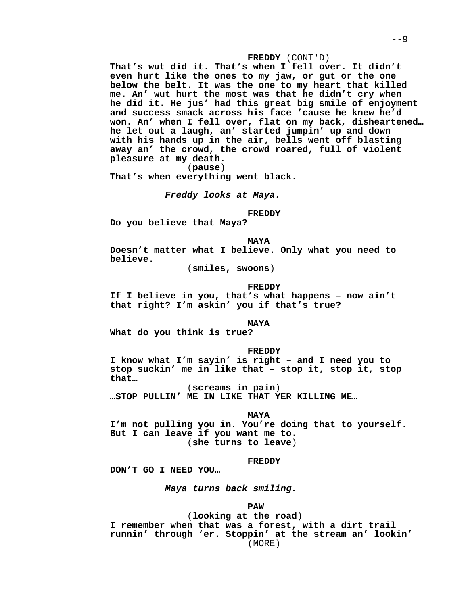## **FREDDY** (CONT'D)

**That's wut did it. That's when I fell over. It didn't even hurt like the ones to my jaw, or gut or the one below the belt. It was the one to my heart that killed me. An' wut hurt the most was that he didn't cry when he did it. He jus' had this great big smile of enjoyment and success smack across his face 'cause he knew he'd won. An' when I fell over, flat on my back, disheartened… he let out a laugh, an' started jumpin' up and down with his hands up in the air, bells went off blasting away an' the crowd, the crowd roared, full of violent pleasure at my death.**

(**pause**)

**That's when everything went black.**

**Freddy looks at Maya.**

**FREDDY**

**Do you believe that Maya?**

**MAYA**

**Doesn't matter what I believe. Only what you need to believe.**

(**smiles, swoons**)

#### **FREDDY**

**If I believe in you, that's what happens – now ain't that right? I'm askin' you if that's true?**

# **MAYA**

**What do you think is true?**

#### **FREDDY**

**I know what I'm sayin' is right – and I need you to stop suckin' me in like that – stop it, stop it, stop that…**

(**screams in pain**) **…STOP PULLIN' ME IN LIKE THAT YER KILLING ME…**

#### **MAYA**

**I'm not pulling you in. You're doing that to yourself. But I can leave if you want me to.** (**she turns to leave**)

#### **FREDDY**

**DON'T GO I NEED YOU…**

**Maya turns back smiling.**

#### **PAW**

(**looking at the road**) **I remember when that was a forest, with a dirt trail runnin' through 'er. Stoppin' at the stream an' lookin'** (MORE)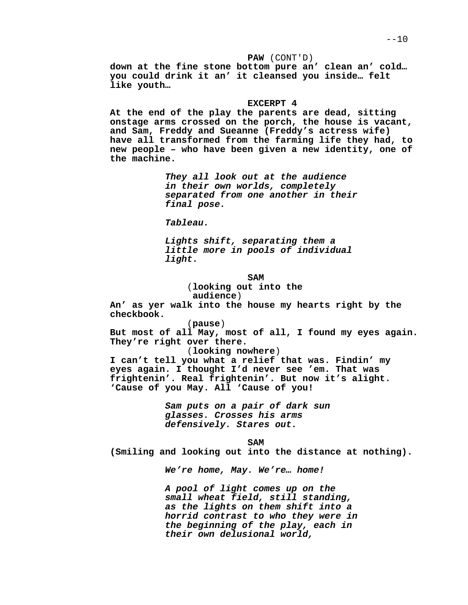**PAW** (CONT'D) **down at the fine stone bottom pure an' clean an' cold… you could drink it an' it cleansed you inside… felt like youth…**

#### **EXCERPT 4**

**At the end of the play the parents are dead, sitting onstage arms crossed on the porch, the house is vacant, and Sam, Freddy and Sueanne (Freddy's actress wife) have all transformed from the farming life they had, to new people – who have been given a new identity, one of the machine.**

> **They all look out at the audience in their own worlds, completely separated from one another in their final pose.**

**Tableau.**

**Lights shift, separating them a little more in pools of individual light.**

**SAM**

(**looking out into the**

**audience**)

**An' as yer walk into the house my hearts right by the checkbook.**

(**pause**)

**But most of all May, most of all, I found my eyes again. They're right over there.**

(**looking nowhere**)

**I can't tell you what a relief that was. Findin' my eyes again. I thought I'd never see 'em. That was frightenin'. Real frightenin'. But now it's alight. 'Cause of you May. All 'Cause of you!**

> **Sam puts on a pair of dark sun glasses. Crosses his arms defensively. Stares out.**

> > **SAM**

**(Smiling and looking out into the distance at nothing).**

**We're home, May. We're… home!**

**A pool of light comes up on the small wheat field, still standing, as the lights on them shift into a horrid contrast to who they were in the beginning of the play, each in their own delusional world,**